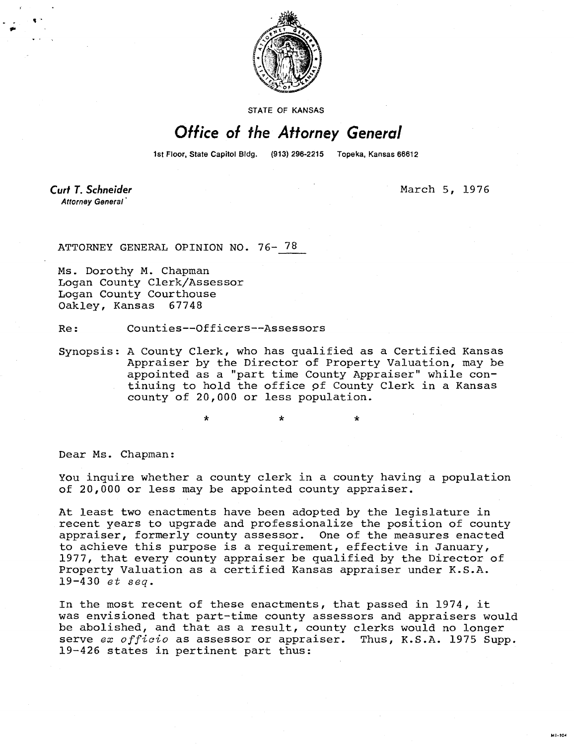

STATE OF KANSAS

## Office of the Attorney General

1st Floor, State Capitol Bldg. (913) 296-2215 Topeka, Kansas 66612

**Curt T. Schneider** Attorney General

March 5, 1976

**MILION** 

ATTORNEY GENERAL OPINION NO. 76- 78

Ms. Dorothy M. Chapman Logan County Clerk/Assessor Logan County Courthouse Oakley, Kansas 67748

Re: Counties--Officers--Assessors

 $\ddot{\textbf{r}}$ 

Synopsis: A County Clerk, who has qualified as a Certified Kansas Appraiser by the Director of Property Valuation, may be appointed as a "part time County Appraiser" while continuing to hold the office of County Clerk in a Kansas county of 20,000 or less population.

Dear Ms. Chapman:

You inquire whether a county clerk in a county having a population of 20,000 or less may be appointed county appraiser.

At least two enactments have been adopted by the legislature in recent years to upgrade and professionalize the position of county appraiser, formerly county assessor. One of the measures enacted to achieve this purpose is a requirement, effective in January, 1977, that every county appraiser be qualified by the Director of Property Valuation as a certified Kansas appraiser under K.S.A.  $19 - 430$  et seq.

In the most recent of these enactments, that passed in 1974, it was envisioned that part-time county assessors and appraisers would be abolished, and that as a result, county clerks would no longer serve ex officio as assessor or appraiser. Thus, K.S.A. 1975 Supp. 19-426 states in pertinent part thus: